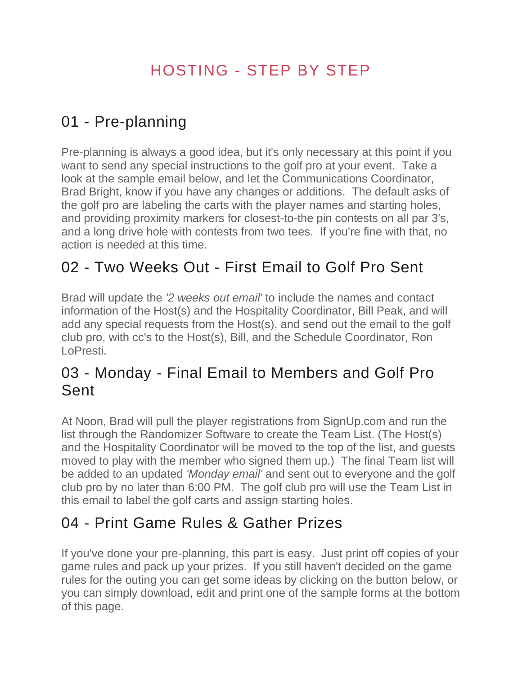# HOSTING - STEP BY STEP

## 01 - Pre-planning

Pre-planning is always a good idea, but it's only necessary at this point if you want to send any special instructions to the golf pro at your event. Take a look at the sample email below, and let the Communications Coordinator, Brad Bright, know if you have any changes or additions. The default asks of the golf pro are labeling the carts with the player names and starting holes, and providing proximity markers for closest-to-the pin contests on all par 3's, and a long drive hole with contests from two tees. If you're fine with that, no action is needed at this time.

#### 02 - Two Weeks Out - First Email to Golf Pro Sent

Brad will update the *'2 weeks out email'* to include the names and contact information of the Host(s) and the Hospitality Coordinator, Bill Peak, and will add any special requests from the Host(s), and send out the email to the golf club pro, with cc's to the Host(s), Bill, and the Schedule Coordinator, Ron LoPresti.

#### 03 - Monday - Final Email to Members and Golf Pro Sent

At Noon, Brad will pull the player registrations from SignUp.com and run the list through the Randomizer Software to create the Team List. (The Host(s) and the Hospitality Coordinator will be moved to the top of the list, and guests moved to play with the member who signed them up.) The final Team list will be added to an updated *'Monday email'* and sent out to everyone and the golf club pro by no later than 6:00 PM. The golf club pro will use the Team List in this email to label the golf carts and assign starting holes.

## 04 - Print Game Rules & Gather Prizes

If you've done your pre-planning, this part is easy. Just print off copies of your game rules and pack up your prizes. If you still haven't decided on the game rules for the outing you can get some ideas by clicking on the button below, or you can simply download, edit and print one of the sample forms at the bottom of this page.